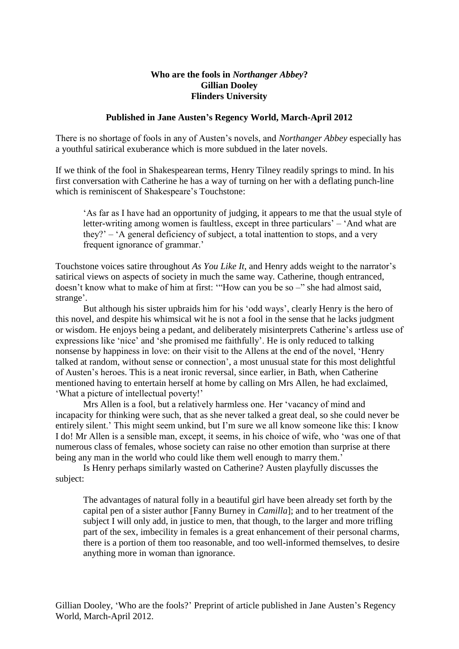## **Who are the fools in** *Northanger Abbey***? Gillian Dooley Flinders University**

## **Published in Jane Austen's Regency World, March-April 2012**

There is no shortage of fools in any of Austen's novels, and *Northanger Abbey* especially has a youthful satirical exuberance which is more subdued in the later novels.

If we think of the fool in Shakespearean terms, Henry Tilney readily springs to mind. In his first conversation with Catherine he has a way of turning on her with a deflating punch-line which is reminiscent of Shakespeare's Touchstone:

'As far as I have had an opportunity of judging, it appears to me that the usual style of letter-writing among women is faultless, except in three particulars' – 'And what are they?' – 'A general deficiency of subject, a total inattention to stops, and a very frequent ignorance of grammar.'

Touchstone voices satire throughout *As You Like It*, and Henry adds weight to the narrator's satirical views on aspects of society in much the same way*.* Catherine, though entranced, doesn't know what to make of him at first: '"How can you be so –" she had almost said, strange'.

But although his sister upbraids him for his 'odd ways', clearly Henry is the hero of this novel, and despite his whimsical wit he is not a fool in the sense that he lacks judgment or wisdom. He enjoys being a pedant, and deliberately misinterprets Catherine's artless use of expressions like 'nice' and 'she promised me faithfully'. He is only reduced to talking nonsense by happiness in love: on their visit to the Allens at the end of the novel, 'Henry talked at random, without sense or connection', a most unusual state for this most delightful of Austen's heroes. This is a neat ironic reversal, since earlier, in Bath, when Catherine mentioned having to entertain herself at home by calling on Mrs Allen, he had exclaimed, 'What a picture of intellectual poverty!'

Mrs Allen is a fool, but a relatively harmless one. Her 'vacancy of mind and incapacity for thinking were such, that as she never talked a great deal, so she could never be entirely silent.' This might seem unkind, but I'm sure we all know someone like this: I know I do! Mr Allen is a sensible man, except, it seems, in his choice of wife, who 'was one of that numerous class of females, whose society can raise no other emotion than surprise at there being any man in the world who could like them well enough to marry them.'

Is Henry perhaps similarly wasted on Catherine? Austen playfully discusses the subject:

The advantages of natural folly in a beautiful girl have been already set forth by the capital pen of a sister author [Fanny Burney in *Camilla*]; and to her treatment of the subject I will only add, in justice to men, that though, to the larger and more trifling part of the sex, imbecility in females is a great enhancement of their personal charms, there is a portion of them too reasonable, and too well-informed themselves, to desire anything more in woman than ignorance.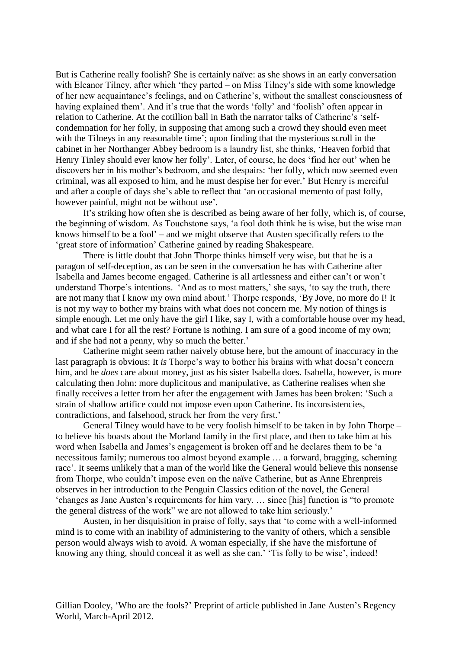But is Catherine really foolish? She is certainly naïve: as she shows in an early conversation with Eleanor Tilney, after which 'they parted – on Miss Tilney's side with some knowledge of her new acquaintance's feelings, and on Catherine's, without the smallest consciousness of having explained them'. And it's true that the words 'folly' and 'foolish' often appear in relation to Catherine. At the cotillion ball in Bath the narrator talks of Catherine's 'selfcondemnation for her folly, in supposing that among such a crowd they should even meet with the Tilneys in any reasonable time'; upon finding that the mysterious scroll in the cabinet in her Northanger Abbey bedroom is a laundry list, she thinks, 'Heaven forbid that Henry Tinley should ever know her folly'. Later, of course, he does 'find her out' when he discovers her in his mother's bedroom, and she despairs: 'her folly, which now seemed even criminal, was all exposed to him, and he must despise her for ever.' But Henry is merciful and after a couple of days she's able to reflect that 'an occasional memento of past folly, however painful, might not be without use'.

It's striking how often she is described as being aware of her folly, which is, of course, the beginning of wisdom. As Touchstone says, 'a fool doth think he is wise, but the wise man knows himself to be a fool' – and we might observe that Austen specifically refers to the 'great store of information' Catherine gained by reading Shakespeare.

There is little doubt that John Thorpe thinks himself very wise, but that he is a paragon of self-deception, as can be seen in the conversation he has with Catherine after Isabella and James become engaged. Catherine is all artlessness and either can't or won't understand Thorpe's intentions. 'And as to most matters,' she says, 'to say the truth, there are not many that I know my own mind about.' Thorpe responds, 'By Jove, no more do I! It is not my way to bother my brains with what does not concern me. My notion of things is simple enough. Let me only have the girl I like, say I, with a comfortable house over my head, and what care I for all the rest? Fortune is nothing. I am sure of a good income of my own; and if she had not a penny, why so much the better.'

Catherine might seem rather naively obtuse here, but the amount of inaccuracy in the last paragraph is obvious: It *is* Thorpe's way to bother his brains with what doesn't concern him, and he *does* care about money, just as his sister Isabella does. Isabella, however, is more calculating then John: more duplicitous and manipulative, as Catherine realises when she finally receives a letter from her after the engagement with James has been broken: 'Such a strain of shallow artifice could not impose even upon Catherine. Its inconsistencies, contradictions, and falsehood, struck her from the very first.'

General Tilney would have to be very foolish himself to be taken in by John Thorpe – to believe his boasts about the Morland family in the first place, and then to take him at his word when Isabella and James's engagement is broken off and he declares them to be 'a necessitous family; numerous too almost beyond example … a forward, bragging, scheming race'. It seems unlikely that a man of the world like the General would believe this nonsense from Thorpe, who couldn't impose even on the naïve Catherine, but as Anne Ehrenpreis observes in her introduction to the Penguin Classics edition of the novel, the General 'changes as Jane Austen's requirements for him vary. … since [his] function is "to promote the general distress of the work" we are not allowed to take him seriously.'

Austen, in her disquisition in praise of folly, says that 'to come with a well-informed mind is to come with an inability of administering to the vanity of others, which a sensible person would always wish to avoid. A woman especially, if she have the misfortune of knowing any thing, should conceal it as well as she can.' 'Tis folly to be wise', indeed!